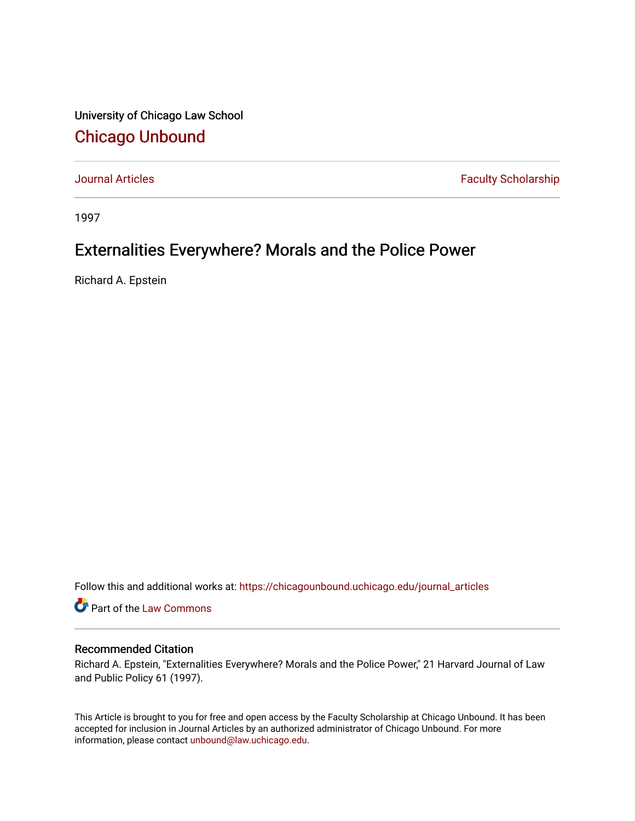University of Chicago Law School [Chicago Unbound](https://chicagounbound.uchicago.edu/)

[Journal Articles](https://chicagounbound.uchicago.edu/journal_articles) **Faculty Scholarship Faculty Scholarship** 

1997

## Externalities Everywhere? Morals and the Police Power

Richard A. Epstein

Follow this and additional works at: [https://chicagounbound.uchicago.edu/journal\\_articles](https://chicagounbound.uchicago.edu/journal_articles?utm_source=chicagounbound.uchicago.edu%2Fjournal_articles%2F238&utm_medium=PDF&utm_campaign=PDFCoverPages) 

Part of the [Law Commons](http://network.bepress.com/hgg/discipline/578?utm_source=chicagounbound.uchicago.edu%2Fjournal_articles%2F238&utm_medium=PDF&utm_campaign=PDFCoverPages)

## Recommended Citation

Richard A. Epstein, "Externalities Everywhere? Morals and the Police Power," 21 Harvard Journal of Law and Public Policy 61 (1997).

This Article is brought to you for free and open access by the Faculty Scholarship at Chicago Unbound. It has been accepted for inclusion in Journal Articles by an authorized administrator of Chicago Unbound. For more information, please contact [unbound@law.uchicago.edu](mailto:unbound@law.uchicago.edu).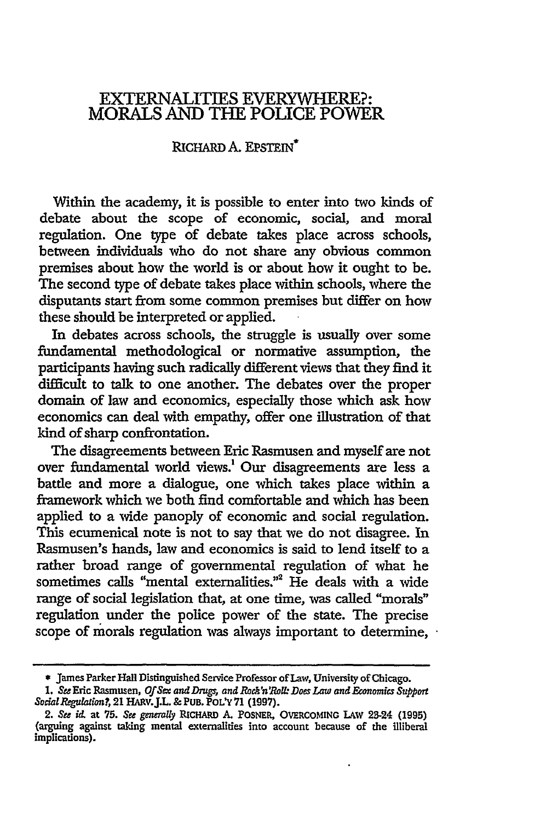## EXTERNALITIES EVERYWHERE?: MORALS AND THE POLICE POWER

## RICHARD **A. EPSTEIN<sup>\*</sup>**

Within the academy, it is possible to enter into two kinds of debate about the scope of economic, social, and moral regulation. One type of debate takes place across schools, between individuals who do not share any obvious common premises about how the world is or about how it ought to be. The second type of debate takes place within schools, where the disputants start from some common premises but differ on how these should be interpreted or applied.

In debates across schools, the struggle is usually over some fundamental methodological or normative assumption, the participants having such radically different views that they find it difficult to talk to one another. The debates over the proper domain of law and economics, especially those which ask how economics can deal with empathy, offer one illustration of that kind of sharp confrontation.

The disagreements between Eric Rasmusen and myself are not over fundamental world views.! Our disagreements are less a battle and more a dialogue, one which takes place within a framework which we both find comfortable and which has been applied to a wide panoply of economic and social regulation. This ecumenical note is not to say that we do not disagree. In Rasmusen's hands, law and economics is said to lend itself to a rather broad range of governmental regulation of what he sometimes calls "mental externalities."2 He deals with a wide range of social legislation that, at one time, was called "morals" regulation under the police power of the state. The precise scope of morals regulation was always important to determine,

**<sup>\*</sup>** James Parker Hall Distinguished Service Professor of Law, University of Chicago.

<sup>1.</sup> *See* Eric Rasmusen, *Of Sex and* Drug, *and Rock'n'Roll: Does Law and Economics* Support *Social Reguation?,* 21 HARv.J.L. **&** PuB. PoLY **71** (1997).

<sup>2.</sup> *See* id. at **75.** *See generally* RIcHARD **A.** POSNER, OVERCOMING LAW 23-24 (1995) (arguing against taking mental externalities into account because of the illiberal implications).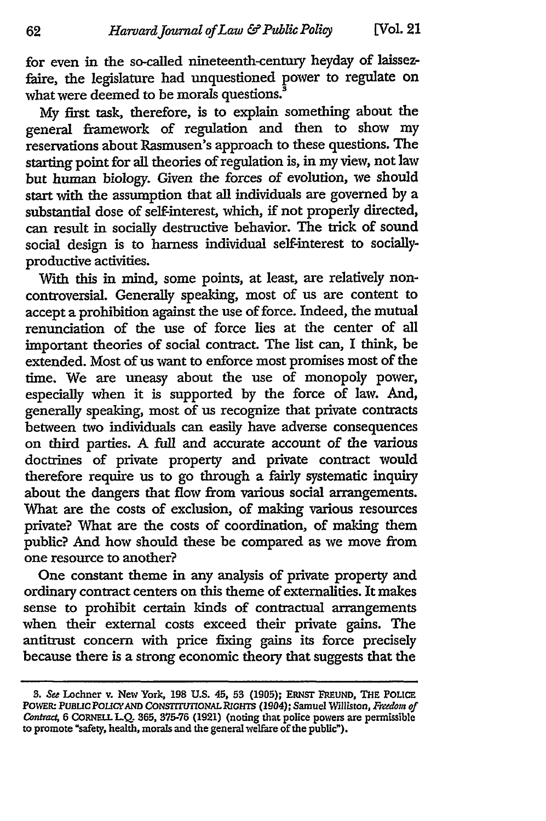for even in the so-called nineteenth-century heyday of laissezfaire, the legislature had unquestioned power to regulate on what were deemed to be morals questions.<sup>3</sup>

My first task, therefore, is to explain something about the general framework of regulation and then to show my reservations about Rasmusen's approach to these questions. The starting point for all theories of regulation is, in my view, not law but human biology. Given the forces of evolution, we should start with the assumption that all individuals are governed by a substantial dose of self-interest, which, if not properly directed, can result in socially destructive behavior. The trick of sound social design is to harness individual self-interest to sociallyproductive activities.

With this in mind, some points, at least, are relatively noncontroversial. Generally speaking, most of us are content to accept a prohibition against the use of force. Indeed, the mutual renunciation of the use of force lies at the center of all important theories of social contract. The list can, I think, be extended. Most of us want to enforce most promises most of the time. We are uneasy about the use of monopoly power, especially when it is supported **by** the force of law. And, generally speaking, most of us recognize that private contracts between two individuals can easily have adverse consequences on third parties. **A** full and accurate account of the various doctrines of private property and private contract would therefore require us to go through a **fairly** systematic inquiry about the dangers that flow from various social arrangements. What are the costs of exclusion, of making various resources private? What are the costs of coordination, of making them public? And how should these be compared as we move from one resource to another?

One constant theme in any analysis of private property and ordinary contract centers on this theme of externalities. It makes sense to prohibit certain kinds of contractual arrangements when their external costs exceed their private gains. The antitrust concern with price fixing gains its force precisely because there is a strong economic theory that suggests that the

*<sup>3.</sup> See* Lochner v. New York, **198 U.S.** 45, **53 (1905); ERNST FREUND, THE POLIcE** POWER: PUBLIC POLICY AND CONSTITUTIONAL RIGHTS (1904); Samuel Williston, *Freedom of Contract 6* **CORNELL LQ. 365, 375-76** (1921) (noting that police powers are permissible to promote "safety, health, morals and the general welfare of the public").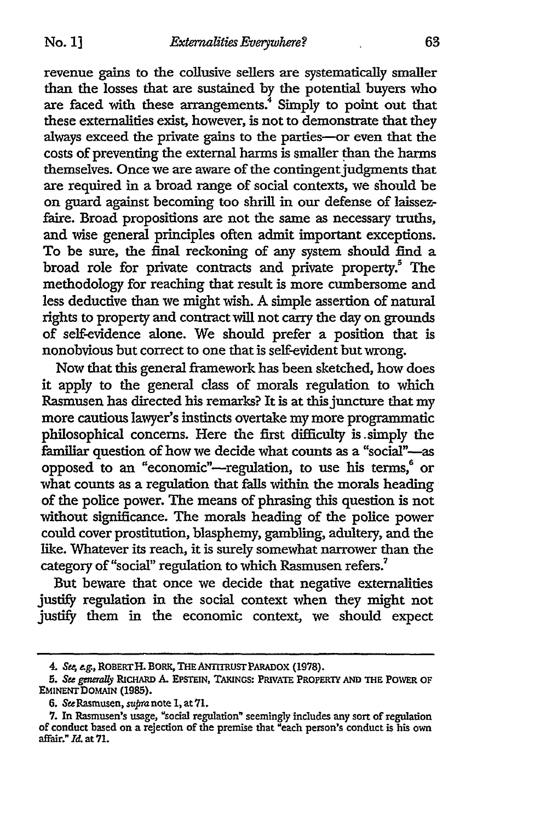revenue gains to the collusive sellers are systematically smaller than the losses that are sustained by the potential buyers who are faced with these arrangements.<sup>4</sup> Simply to point out that these externalities exist, however, is not to demonstrate that they always exceed the private gains to the parties-or even that the costs of preventing the external harms is smaller than the harms themselves. Once we are aware of the contingent judgments that are required in a broad range of social contexts, we should be on guard against becoming too shrill in our defense of laissezfaire. Broad propositions are not the same as necessary truths, and wise general principles often admit important exceptions. To be sure, the final reckoning of any system should find a broad role for private contracts and private property.<sup>5</sup> The methodology for reaching that result is more cumbersome and less deductive than we might wish. A simple assertion of natural rights to property and contract will not carry the day on grounds of self-evidence alone. We should prefer a position that is nonobvious but correct to one that is self-evident but wrong.

Now that this general framework has been sketched, how does it apply to the general class of morals regulation to which Rasmusen has directed his remarks? It is at this juncture that my more cautious lawyer's instincts overtake my more programmatic philosophical concerns. Here the first difficulty is .simply the familiar question of how we decide what counts as a "social"-as opposed to an "economic"—regulation, to use his terms,<sup>6</sup> or what counts as a regulation that falls within the morals heading of the police power. The means of phrasing this question is not without significance. The morals heading of the police power could cover prostitution, blasphemy, gambling, adultery, and the like. Whatever its reach, it is surely somewhat narrower than the category of "social" regulation to which Rasmusen refers.<sup>7</sup>

But beware that once we decide that negative externalities justify regulation in the social context when they might not justify them in the economic context, we should expect

<sup>4.</sup> Se; *g.,* ROBERTH. **BORM, THEANITRuSTPARADOX (1978).**

*<sup>5.</sup> See generally* **RICHARD** *A.* **EPSTEIN, TAKINGS: PRIVATE** PROPERTY **AND THE** PONWER **OF EMINENTDOMAIN (1985).**

**<sup>6.</sup>** SaRasmusen, supranote **1,** at7l.

<sup>7.</sup> In Rasmusen's usage, "social regulation" seemingly includes any sort of regulation of conduct based on a rejection of the premise that "each person's conduct is his own affair." *Id.* at **71.**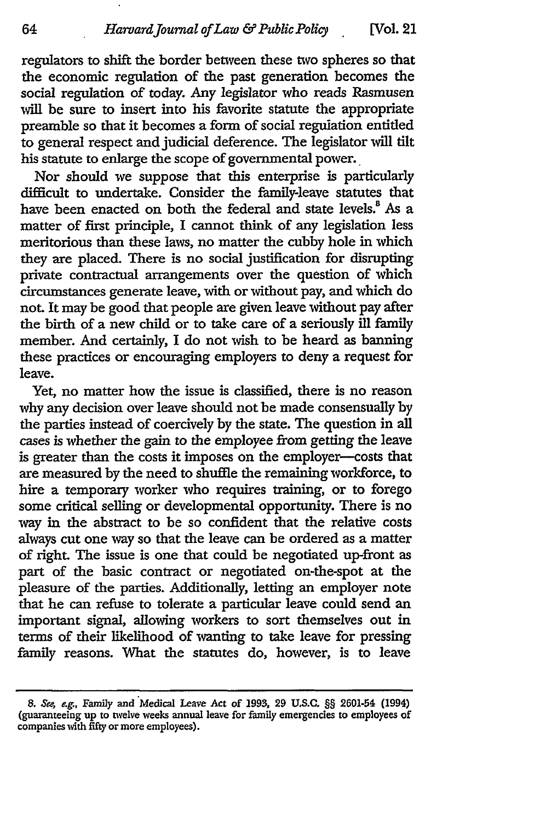regulators to shift the border between these two spheres so that the economic regulation of the past generation becomes the social regulation of today. Any legislator who reads Rasmusen will be sure to insert into his favorite statute the appropriate preamble so that it becomes a form of social regulation entitled to general respect and judicial deference. The legislator will tilt his statute to enlarge the scope of governmental power.

Nor should we suppose that this enterprise is particularly difficult to undertake. Consider the family-leave statutes that have been enacted on both the federal and state levels.<sup>8</sup> As a matter of first principle, I cannot think of any legislation less meritorious than these laws, no matter the cubby hole in which they are placed. There is no social justification for disrupting private contractual arrangements over the question of which circumstances generate leave, with or without pay, and which do not. It may be good that people are given leave without pay after the birth of a new child or to take care of a seriously ill family member. And certainly, I do not wish to be heard as banning these practices or encouraging employers to deny a request for leave.

Yet, no matter how the issue is classified, there is no reason why any decision over leave should not be made consensually **by** the parties instead of coercively **by** the state. The question in all cases is whether the gain to the employee from getting the leave is greater than the costs it imposes on the employer-costs that are measured by the need to shuffle the remaining workforce, to hire a temporary worker who requires training, or to forego some critical selling or developmental opportunity. There is no way in the abstract to be so confident that the relative costs always cut one way so that the leave can be ordered as a matter of right. The issue is one that could be negotiated up-front as part of the basic contract or negotiated on-the-spot at the pleasure of the parties. Additionally, letting an employer note that he can refuse to tolerate a particular leave could send an important signal, allowing workers to sort themselves out in terms of their likelihood of wanting to take leave for pressing family reasons. What the statutes do, however, is to leave

**<sup>8.</sup>** *Se4 eg.,* Family and Medical Leave Act of **1993, 29 U.S.C. §§** 2601-54 (1994) (guaranteeing up to twelve weeks annual leave for family emergencies to employees of companies with fifty or more employees).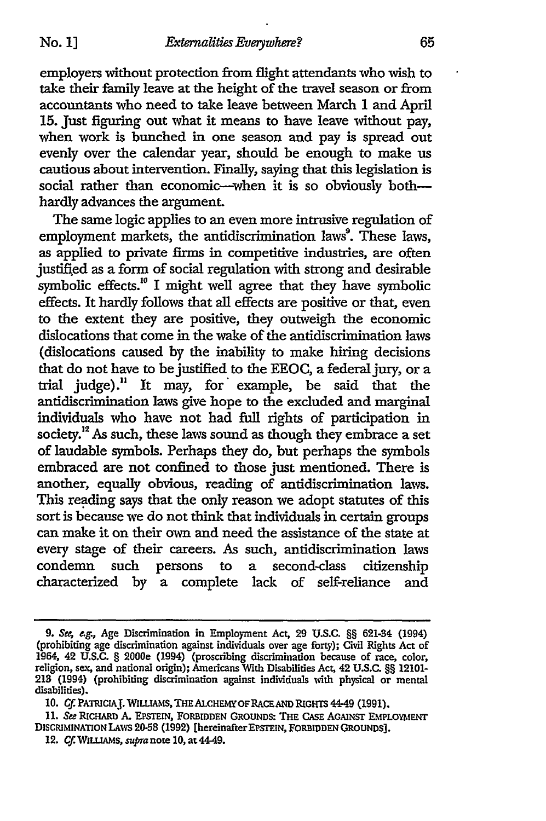employers without protection from flight attendants who wish to take their family leave at the height of the travel season or from accountants who need to take leave between March 1 and April 15. Just figuring out what it means to have leave without pay, when work is bunched in one season and pay is spread out evenly over the calendar year, should be enough to make us cautious about intervention. Finally, saying that this legislation is social rather than economic-when it is so obviously bothhardly advances the argument.

The same logic applies to an even more intrusive regulation of employment markets, the antidiscrimination laws<sup>9</sup>. These laws, as applied to private firms in competitive industries, are often justified as a form of social regulation with strong and desirable symbolic effects.<sup>10</sup> I might well agree that they have symbolic effects. It hardly follows that all effects are positive or that, even to the extent they are positive, they outweigh the economic dislocations that come in the wake of the antidiscrimination laws (dislocations caused by the inability to make hiring decisions that do not have to be justified to the EEOC, a federaljury, or a trial judge)." It may, for' example, be said that the antidiscrimination laws give hope to the excluded and marginal individuals who have not had full rights of participation in society.<sup>12</sup> As such, these laws sound as though they embrace a set of laudable symbols. Perhaps they do, but perhaps the symbols embraced are not confined to those just mentioned. There is another, equally obvious, reading of antidiscrimination laws. This reading says that the only reason we adopt statutes of this sort is because we do not think that individuals in certain groups can make it on their own and need the assistance of the state at every stage of their careers. As such, antidiscrimination laws condemn such persons to a second-class citizenship characterized by a complete lack of self-reliance and

**<sup>9.</sup>** *Se, ag.,* Age Discrimination in Employment Act. **29 U.S.C.** §§ 621-34 (1994) (prohibiting age discrimination against individuals over age forty); Civil Rights Act of 1964, 42 U.S.C. § 2000e (1994) (proscribing discrimination because of race, color, religion, sex, and national origin); Americans With Disabilities Act. 42 **U.S.C.** §§ **12101- 213** (1994) (prohibiting discrimination against individuals with physical or mental disabilities).

**<sup>10.</sup> Cf. PATICIAJ. WILLIAMS,** THEALCHEMY **OF RACEAND RIGHTS 4-49** (1991).

*<sup>11.</sup>* See **RICHARD A. EPSTEIN,** FORBIDDEN GROUNDS: THE CASE AGAINST EMPLOYMENT **DISCRIMINATION** LAWS **2058 (1992)** [hereinafter EPSTEIN, FORBIDDEN **GROUNDS].**

**<sup>12.</sup> Cf. WIaLAMs,** supra note **10,** at 44-49.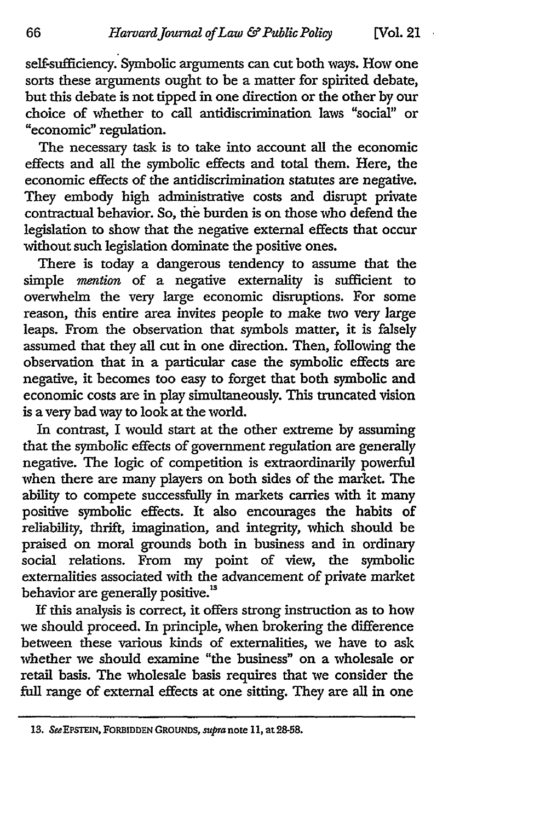self-sufficiency. Symbolic arguments can cut both ways. How one sorts these arguments ought to be a matter for spirited debate, but this debate is not tipped in one direction or the other by our choice of whether to call antidiscrimination laws "social" or "economic" regulation.

The necessary task is to take into account all the economic effects and all the symbolic effects and total them. Here, the economic effects of the antidiscrimination statutes are negative. They embody high administrative costs and disrupt private contractual behavior. So, the burden is on those who defend the legislation to show that the negative external effects that occur without such legislation dominate the positive ones.

There is today a dangerous tendency to assume that the simple *mention* of a negative externality is sufficient to overwhelm the very large economic disruptions. For some reason, this entire area invites people to make two very large leaps. From the observation that symbols matter, it is falsely assumed that they all cut in one direction. Then, following the observation that in a particular case the symbolic effects are negative, it becomes too easy to forget that both symbolic and economic costs are in play simultaneously. This truncated vision is a very bad way to look at the world.

In contrast, I would start at the other extreme by assuming that the symbolic effects of government regulation are generally negative. The logic of competition is extraordinarily powerful when there are many players on both sides of the market. The ability to compete successfully in markets carries with it many positive symbolic effects. It also encourages the habits of reliability, thrift, imagination, and integrity, which should be praised on moral grounds both in business and in ordinary social relations. From my point of view, the symbolic externalities associated with the advancement of private market behavior are generally positive.<sup>13</sup>

If this analysis is correct, it offers strong instruction as to how we should proceed. In principle, when brokering the difference between these various kinds of externalities, we have to ask whether we should examine "the business" on a wholesale or retail basis. The wholesale basis requires that we consider the full range of external effects at one sitting. They are all in one

**<sup>13.</sup> SeeEPSTEIN, FORBIDDEN GROUNDS,** *supra* note **11,** at **28-58.**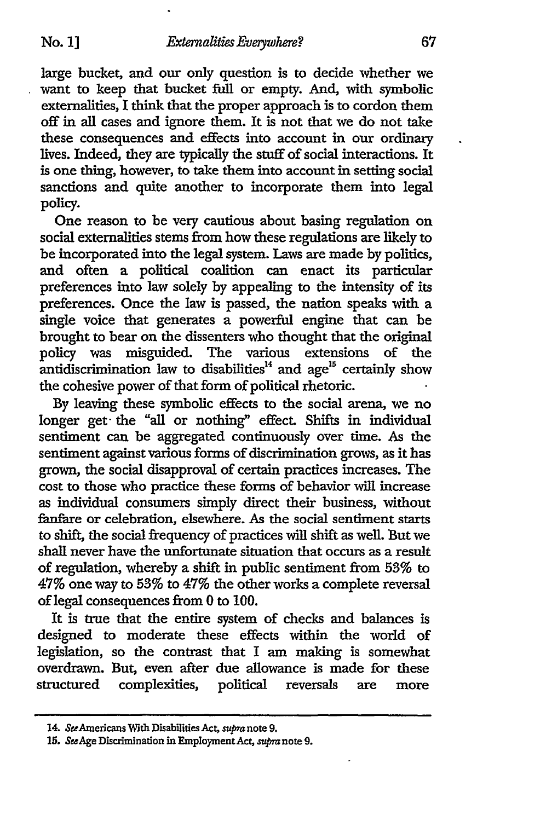large bucket, and our only question is to decide whether we want to keep that bucket full or empty. And, with symbolic externalities, I think that the proper approach is to cordon them off in all cases and ignore them. It is not that we do not take these consequences and effects into account in our ordinary lives. Indeed, they are typically the stuff of social interactions. It is one thing, however, to take them into account in setting social sanctions and quite another to incorporate them into legal policy.

One reason to be very cautious about basing regulation on social externalities stems from how these regulations are likely to be incorporated into the legal system. Laws are made by politics, and often a political coalition can enact its particular preferences into law solely by appealing to the intensity of its preferences. Once the law is passed, the nation speaks with a single voice that generates a powerful engine that can be brought to bear on the dissenters who thought that the original policy was misguided. The various extensions of the antidiscrimination law to disabilities<sup>14</sup> and age<sup>15</sup> certainly show the cohesive power of that form of political rhetoric.

**By** leaving these symbolic effects to the social arena, we no longer get- the "all or nothing" effect. Shifts in individual sentiment can be aggregated continuously over time. As the sentiment against various forms of discrimination grows, as it has grown, the social disapproval of certain practices increases. The cost to those who practice these forms of behavior will increase as individual consumers simply direct their business, without fanfare or celebration, elsewhere. As the social sentiment starts to shift, the social frequency of practices will shift as well. But we shall never have the unfortunate situation that occurs as a result of regulation, whereby a shift in public sentiment from **53%** to 47% one way to **53%** to 47% the other works a complete reversal of legal consequences from 0 to 100.

It is true that the entire system of checks and balances is designed to moderate these effects within the world of legislation, so the contrast that I am making is somewhat overdrawn. But, even after due allowance is made for these structured complexities, political reversals are more

<sup>14.</sup> SeeAmericans With Disabilities Act, *supra* note **9.**

*<sup>15.</sup>* SeeAge Discrimination in Employment Act, *supra* note **9.**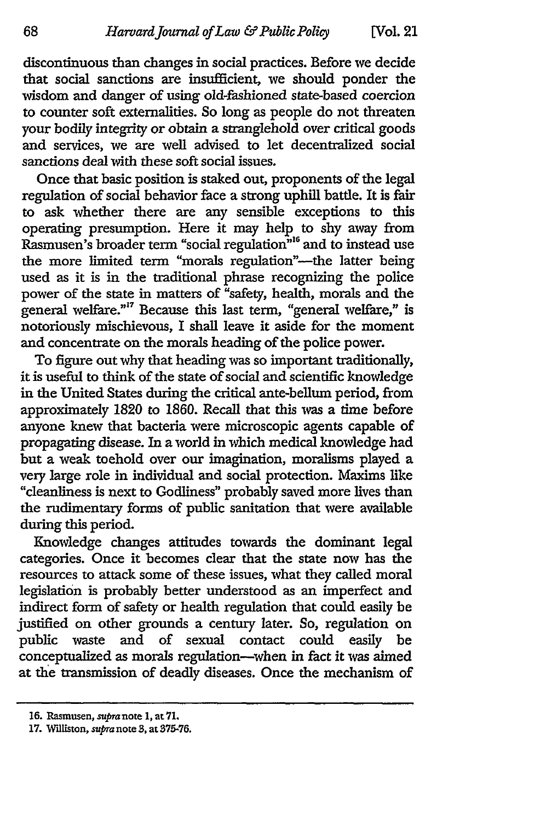discontinuous than changes in social practices. Before we decide that social sanctions are insufficient, we should ponder the wisdom and danger of using old-fashioned state-based coercion to counter soft externalities. So long as people do not threaten your bodily integrity or obtain a stranglehold over critical goods and services, we are well advised to let decentralized social sanctions deal with these soft social issues.

Once that basic position is staked out, proponents of the legal regulation of social behavior face a strong uphill battle. It is fair to ask whether there are any sensible exceptions to this operating presumption. Here it may help to shy away from Rasmusen's broader term "social regulation<sup>" 16</sup> and to instead use the more limited term "morals regulation"-the latter being used as it is in the traditional phrase recognizing the police power of the state in matters of "safety, health, morals and the general welfare."17 Because this last term, "general welfare," is notoriously mischievous, I shall leave it aside for the moment and concentrate on the morals heading of the police power.

To figure out why that heading was so important traditionally, it is useful to think of the state of social and scientific knowledge in the United States during the critical ante-bellum period, from approximately **1820** to **1860.** Recall that this was a time before anyone knew that bacteria were microscopic agents capable of propagating disease. In a world in which medical knowledge had but a weak toehold over our imagination, moralisms played a very large role in individual and social protection. Maxims like "cleanliness is next to Godliness" probably saved more lives than the rudimentary forms of public sanitation that were available during this period.

Knowledge changes attitudes towards the dominant legal categories. Once it becomes clear that the state now has the resources to attack some of these issues, what they called moral legislation is probably better understood as an imperfect and indirect form of safety or health regulation that could easily be justified on other grounds a century later. So, regulation on public waste and of sexual contact could easily be conceptualized as morals regulation-when in fact it was aimed at the transmission of deadly diseases. Once the mechanism of

**<sup>16.</sup>** Rasmusen, supranote **1,** at **71.**

**<sup>17.</sup> Williston, supra note 3, at 375-76.**